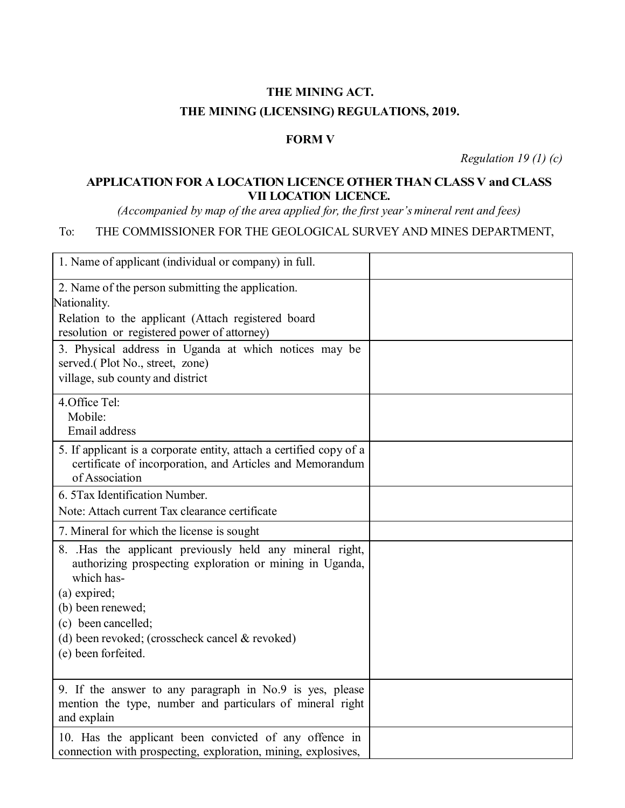## **THE MINING ACT. THE MINING (LICENSING) REGULATIONS, 2019.**

## **FORM V**

*Regulation 19 (1) (c)*

## **APPLICATION FOR A LOCATION LICENCE OTHER THAN CLASS V and CLASS VII LOCATION LICENCE.**

*(Accompanied by map of the area applied for, the first year's mineral rent and fees)*

## To: THE COMMISSIONER FOR THE GEOLOGICAL SURVEY AND MINES DEPARTMENT,

| 1. Name of applicant (individual or company) in full.                                                                                                                                                                                                                   |  |
|-------------------------------------------------------------------------------------------------------------------------------------------------------------------------------------------------------------------------------------------------------------------------|--|
| 2. Name of the person submitting the application.<br>Nationality.<br>Relation to the applicant (Attach registered board<br>resolution or registered power of attorney)                                                                                                  |  |
| 3. Physical address in Uganda at which notices may be<br>served.(Plot No., street, zone)<br>village, sub county and district                                                                                                                                            |  |
| 4.Office Tel:<br>Mobile:<br>Email address                                                                                                                                                                                                                               |  |
| 5. If applicant is a corporate entity, attach a certified copy of a<br>certificate of incorporation, and Articles and Memorandum<br>of Association                                                                                                                      |  |
| 6. 5 Tax Identification Number.<br>Note: Attach current Tax clearance certificate                                                                                                                                                                                       |  |
| 7. Mineral for which the license is sought                                                                                                                                                                                                                              |  |
| 8. Has the applicant previously held any mineral right,<br>authorizing prospecting exploration or mining in Uganda,<br>which has-<br>(a) expired;<br>(b) been renewed;<br>(c) been cancelled;<br>(d) been revoked; (crosscheck cancel & revoked)<br>(e) been forfeited. |  |
| 9. If the answer to any paragraph in No.9 is yes, please<br>mention the type, number and particulars of mineral right<br>and explain                                                                                                                                    |  |
| 10. Has the applicant been convicted of any offence in<br>connection with prospecting, exploration, mining, explosives,                                                                                                                                                 |  |